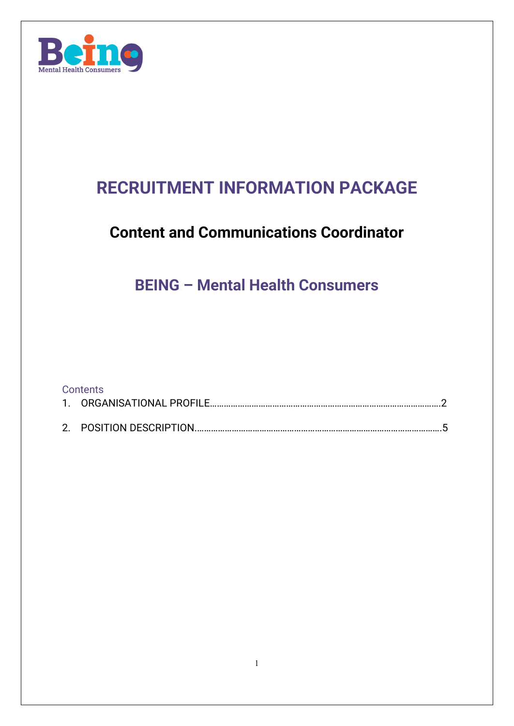

# **RECRUITMENT INFORMATION PACKAGE**

# **Content and Communications Coordinator**

# **BEING – Mental Health Consumers**

| <b>Contents</b> |  |
|-----------------|--|
|                 |  |
|                 |  |
|                 |  |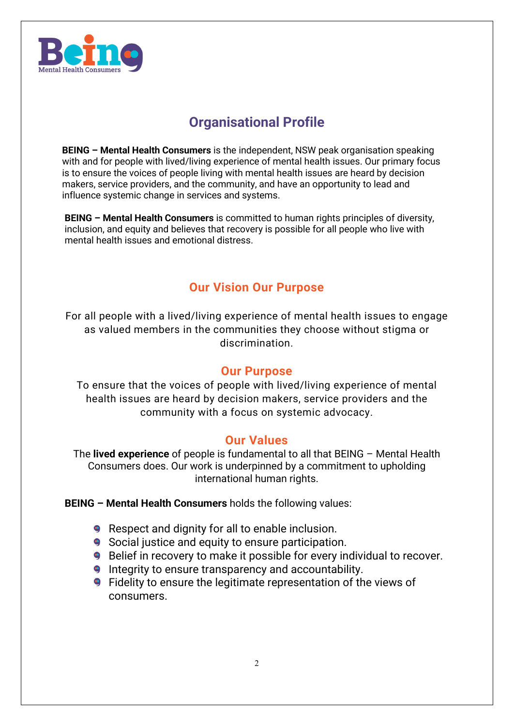

# **Organisational Profile**

**BEING – Mental Health Consumers** is the independent, NSW peak organisation speaking with and for people with lived/living experience of mental health issues. Our primary focus is to ensure the voices of people living with mental health issues are heard by decision makers, service providers, and the community, and have an opportunity to lead and influence systemic change in services and systems.

**BEING – Mental Health Consumers** is committed to human rights principles of diversity, inclusion, and equity and believes that recovery is possible for all people who live with mental health issues and emotional distress.

### **Our Vision Our Purpose**

For all people with a lived/living experience of mental health issues to engage as valued members in the communities they choose without stigma or discrimination.

#### **Our Purpose**

To ensure that the voices of people with lived/living experience of mental health issues are heard by decision makers, service providers and the community with a focus on systemic advocacy.

#### **Our Values**

The **lived experience** of people is fundamental to all that BEING – Mental Health Consumers does. Our work is underpinned by a commitment to upholding international human rights.

**BEING – Mental Health Consumers** holds the following values:

- **9** Respect and dignity for all to enable inclusion.
- **9** Social justice and equity to ensure participation.
- **9** Belief in recovery to make it possible for every individual to recover.
- **Integrity to ensure transparency and accountability.**
- **9** Fidelity to ensure the legitimate representation of the views of consumers.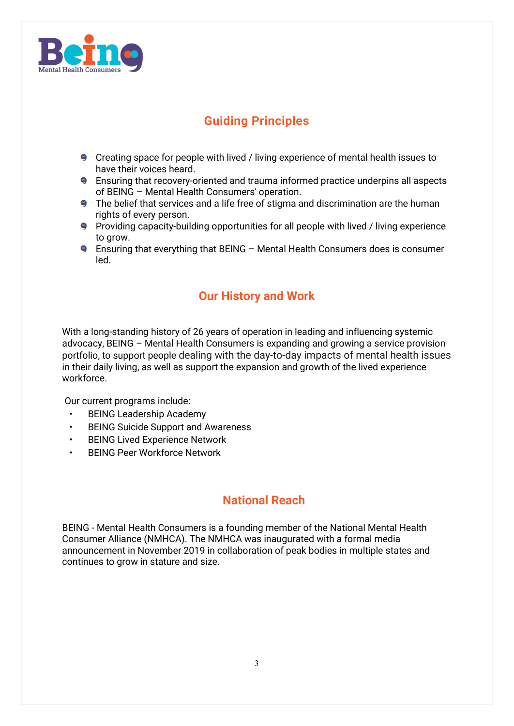

## **Guiding Principles**

- Creating space for people with lived / living experience of mental health issues to have their voices heard.
- Ensuring that recovery-oriented and trauma informed practice underpins all aspects of BEING – Mental Health Consumers' operation.
- The belief that services and a life free of stigma and discrimination are the human rights of every person.
- **9** Providing capacity-building opportunities for all people with lived / living experience to grow.
- Ensuring that everything that BEING Mental Health Consumers does is consumer led.

### **Our History and Work**

With a long-standing history of 26 years of operation in leading and influencing systemic advocacy, BEING – Mental Health Consumers is expanding and growing a service provision portfolio, to support people dealing with the day-to-day impacts of mental health issues in their daily living, as well as support the expansion and growth of the lived experience workforce.

Our current programs include:

- BEING Leadership Academy
- BEING Suicide Support and Awareness
- **BEING Lived Experience Network**
- BEING Peer Workforce Network

#### **National Reach**

BEING - Mental Health Consumers is a founding member of the National Mental Health Consumer Alliance (NMHCA). The NMHCA was inaugurated with a formal media announcement in November 2019 in collaboration of peak bodies in multiple states and continues to grow in stature and size.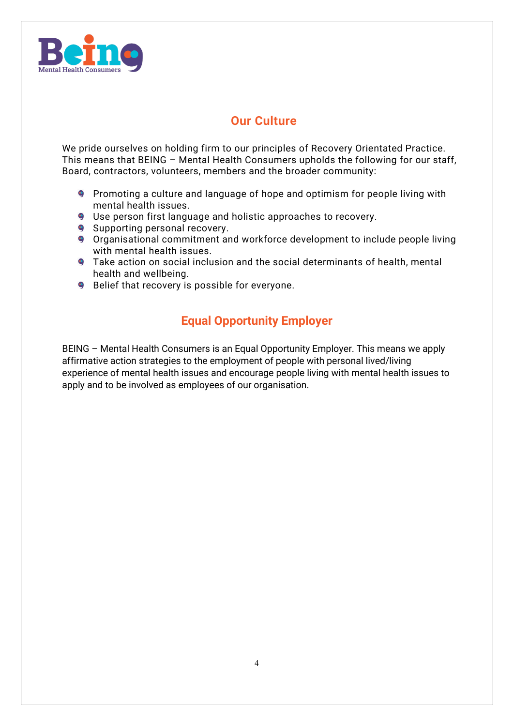

### **Our Culture**

We pride ourselves on holding firm to our principles of Recovery Orientated Practice. This means that BEING – Mental Health Consumers upholds the following for our staff, Board, contractors, volunteers, members and the broader community:

- **Promoting a culture and language of hope and optimism for people living with** mental health issues.
- **9** Use person first language and holistic approaches to recovery.
- **9** Supporting personal recovery.
- **9** Organisational commitment and workforce development to include people living with mental health issues.
- **9** Take action on social inclusion and the social determinants of health, mental health and wellbeing.
- **9** Belief that recovery is possible for everyone.

### **Equal Opportunity Employer**

BEING – Mental Health Consumers is an Equal Opportunity Employer. This means we apply affirmative action strategies to the employment of people with personal lived/living experience of mental health issues and encourage people living with mental health issues to apply and to be involved as employees of our organisation.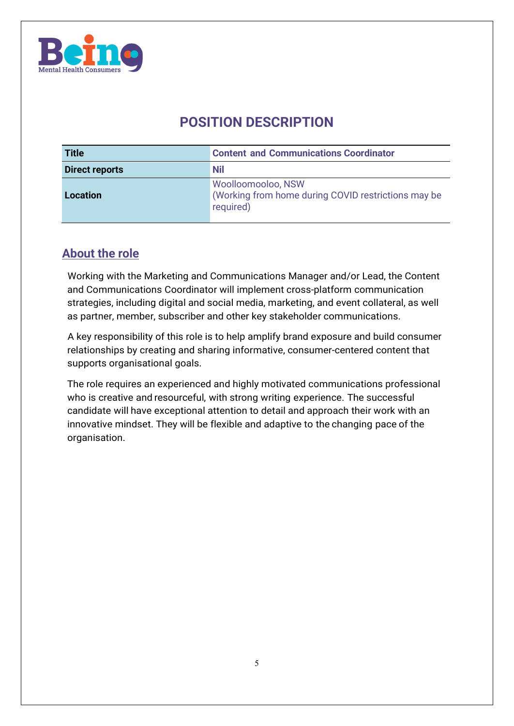

# **POSITION DESCRIPTION**

| Title                 | <b>Content and Communications Coordinator</b>                                          |
|-----------------------|----------------------------------------------------------------------------------------|
| <b>Direct reports</b> | <b>Nil</b>                                                                             |
| Location              | Woolloomooloo, NSW<br>(Working from home during COVID restrictions may be<br>required) |

#### **About the role**

Working with the Marketing and Communications Manager and/or Lead, the Content and Communications Coordinator will implement cross-platform communication strategies, including digital and social media, marketing, and event collateral, as well as partner, member, subscriber and other key stakeholder communications.

A key responsibility of this role is to help amplify brand exposure and build consumer relationships by creating and sharing informative, consumer-centered content that supports organisational goals.

The role requires an experienced and highly motivated communications professional who is creative and resourceful, with strong writing experience. The successful candidate will have exceptional attention to detail and approach their work with an innovative mindset. They will be flexible and adaptive to the changing pace of the organisation.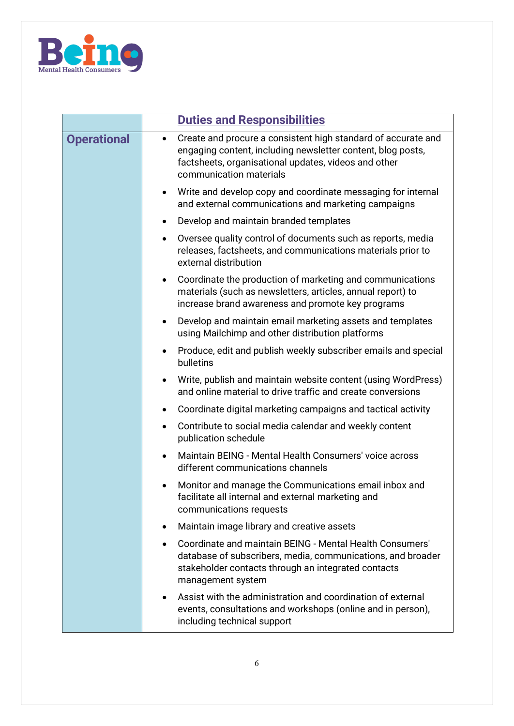

|                    | <b>Duties and Responsibilities</b>                                                                                                                                                                                           |  |
|--------------------|------------------------------------------------------------------------------------------------------------------------------------------------------------------------------------------------------------------------------|--|
| <b>Operational</b> | Create and procure a consistent high standard of accurate and<br>$\bullet$<br>engaging content, including newsletter content, blog posts,<br>factsheets, organisational updates, videos and other<br>communication materials |  |
|                    | Write and develop copy and coordinate messaging for internal<br>$\bullet$<br>and external communications and marketing campaigns                                                                                             |  |
|                    | Develop and maintain branded templates<br>$\bullet$                                                                                                                                                                          |  |
|                    | Oversee quality control of documents such as reports, media<br>$\bullet$<br>releases, factsheets, and communications materials prior to<br>external distribution                                                             |  |
|                    | Coordinate the production of marketing and communications<br>$\bullet$<br>materials (such as newsletters, articles, annual report) to<br>increase brand awareness and promote key programs                                   |  |
|                    | Develop and maintain email marketing assets and templates<br>$\bullet$<br>using Mailchimp and other distribution platforms                                                                                                   |  |
|                    | Produce, edit and publish weekly subscriber emails and special<br>$\bullet$<br>bulletins                                                                                                                                     |  |
|                    | Write, publish and maintain website content (using WordPress)<br>$\bullet$<br>and online material to drive traffic and create conversions                                                                                    |  |
|                    | Coordinate digital marketing campaigns and tactical activity<br>٠                                                                                                                                                            |  |
|                    | Contribute to social media calendar and weekly content<br>$\bullet$<br>publication schedule                                                                                                                                  |  |
|                    | Maintain BEING - Mental Health Consumers' voice across<br>$\bullet$<br>different communications channels                                                                                                                     |  |
|                    | Monitor and manage the Communications email inbox and<br>facilitate all internal and external marketing and<br>communications requests                                                                                       |  |
|                    | Maintain image library and creative assets<br>٠                                                                                                                                                                              |  |
|                    | Coordinate and maintain BEING - Mental Health Consumers'<br>database of subscribers, media, communications, and broader<br>stakeholder contacts through an integrated contacts<br>management system                          |  |
|                    | Assist with the administration and coordination of external<br>events, consultations and workshops (online and in person),<br>including technical support                                                                    |  |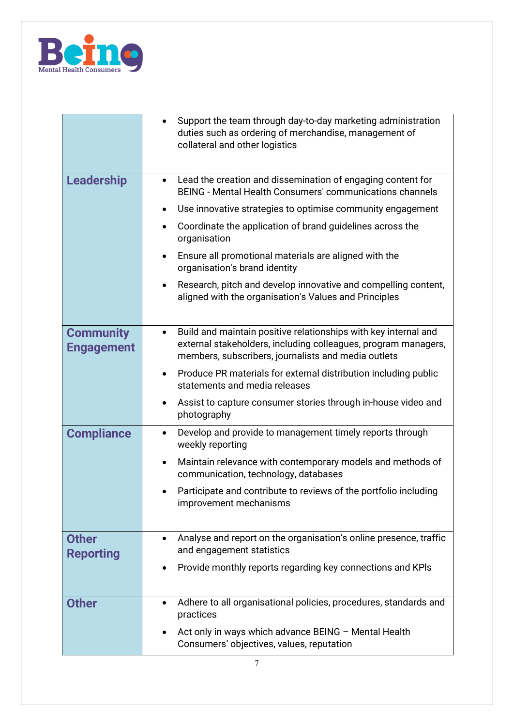

|                                       | Support the team through day-to-day marketing administration<br>duties such as ordering of merchandise, management of<br>collateral and other logistics                                               |
|---------------------------------------|-------------------------------------------------------------------------------------------------------------------------------------------------------------------------------------------------------|
| <b>Leadership</b>                     | Lead the creation and dissemination of engaging content for<br>$\bullet$<br><b>BEING - Mental Health Consumers' communications channels</b>                                                           |
|                                       | Use innovative strategies to optimise community engagement<br>$\bullet$                                                                                                                               |
|                                       | Coordinate the application of brand guidelines across the<br>organisation                                                                                                                             |
|                                       | Ensure all promotional materials are aligned with the<br>$\bullet$<br>organisation's brand identity                                                                                                   |
|                                       | Research, pitch and develop innovative and compelling content,<br>aligned with the organisation's Values and Principles                                                                               |
| <b>Community</b><br><b>Engagement</b> | Build and maintain positive relationships with key internal and<br>$\bullet$<br>external stakeholders, including colleagues, program managers,<br>members, subscribers, journalists and media outlets |
|                                       | Produce PR materials for external distribution including public<br>$\bullet$<br>statements and media releases                                                                                         |
|                                       | Assist to capture consumer stories through in-house video and<br>photography                                                                                                                          |
| <b>Compliance</b>                     | Develop and provide to management timely reports through<br>weekly reporting                                                                                                                          |
|                                       | Maintain relevance with contemporary models and methods of<br>$\bullet$<br>communication, technology, databases                                                                                       |
|                                       | Participate and contribute to reviews of the portfolio including<br>improvement mechanisms                                                                                                            |
| <b>Other</b><br><b>Reporting</b>      | Analyse and report on the organisation's online presence, traffic<br>$\bullet$<br>and engagement statistics                                                                                           |
|                                       | Provide monthly reports regarding key connections and KPIs                                                                                                                                            |
| <b>Other</b>                          | Adhere to all organisational policies, procedures, standards and<br>practices                                                                                                                         |
|                                       | Act only in ways which advance BEING - Mental Health<br>Consumers' objectives, values, reputation                                                                                                     |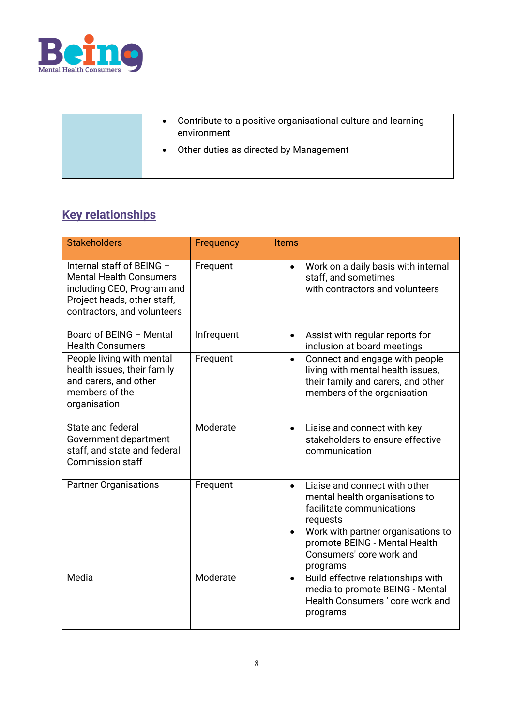

| Contribute to a positive organisational culture and learning<br>environment |
|-----------------------------------------------------------------------------|
| Other duties as directed by Management<br>$\bullet$                         |

# **Key relationships**

| <b>Stakeholders</b>                                                                                                                                     | Frequency  | <b>Items</b>                                                                                                                                                                                                                         |
|---------------------------------------------------------------------------------------------------------------------------------------------------------|------------|--------------------------------------------------------------------------------------------------------------------------------------------------------------------------------------------------------------------------------------|
| Internal staff of BEING -<br><b>Mental Health Consumers</b><br>including CEO, Program and<br>Project heads, other staff,<br>contractors, and volunteers | Frequent   | Work on a daily basis with internal<br>$\bullet$<br>staff, and sometimes<br>with contractors and volunteers                                                                                                                          |
| Board of BEING - Mental<br><b>Health Consumers</b>                                                                                                      | Infrequent | Assist with regular reports for<br>$\bullet$<br>inclusion at board meetings                                                                                                                                                          |
| People living with mental<br>health issues, their family<br>and carers, and other<br>members of the<br>organisation                                     | Frequent   | Connect and engage with people<br>$\bullet$<br>living with mental health issues,<br>their family and carers, and other<br>members of the organisation                                                                                |
| State and federal<br>Government department<br>staff, and state and federal<br><b>Commission staff</b>                                                   | Moderate   | Liaise and connect with key<br>$\bullet$<br>stakeholders to ensure effective<br>communication                                                                                                                                        |
| <b>Partner Organisations</b>                                                                                                                            | Frequent   | Liaise and connect with other<br>$\bullet$<br>mental health organisations to<br>facilitate communications<br>requests<br>Work with partner organisations to<br>promote BEING - Mental Health<br>Consumers' core work and<br>programs |
| Media                                                                                                                                                   | Moderate   | Build effective relationships with<br>$\bullet$<br>media to promote BEING - Mental<br>Health Consumers' core work and<br>programs                                                                                                    |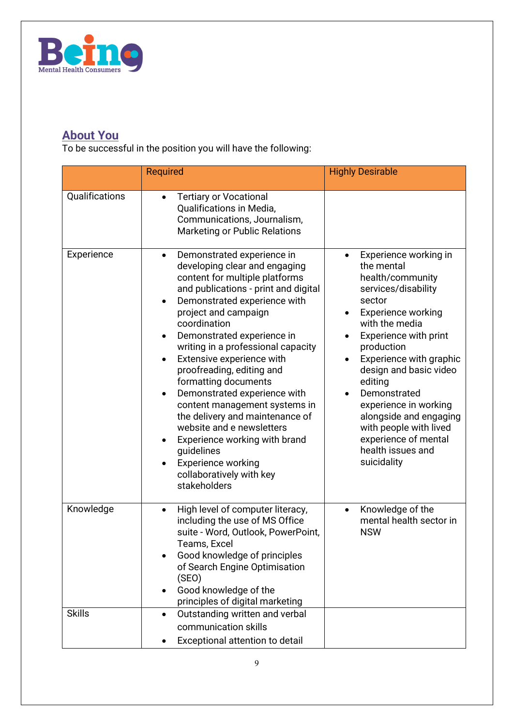

## **About You**

To be successful in the position you will have the following:

| <b>Required</b>                                                                                                                                                                                                                                                                                                                                                                                                                                                                                                                                                                                                                                                                  | <b>Highly Desirable</b>                                                                                                                                                                                                                                                                                                                                                                                              |
|----------------------------------------------------------------------------------------------------------------------------------------------------------------------------------------------------------------------------------------------------------------------------------------------------------------------------------------------------------------------------------------------------------------------------------------------------------------------------------------------------------------------------------------------------------------------------------------------------------------------------------------------------------------------------------|----------------------------------------------------------------------------------------------------------------------------------------------------------------------------------------------------------------------------------------------------------------------------------------------------------------------------------------------------------------------------------------------------------------------|
| <b>Tertiary or Vocational</b><br>$\bullet$<br>Qualifications in Media,<br>Communications, Journalism,<br>Marketing or Public Relations                                                                                                                                                                                                                                                                                                                                                                                                                                                                                                                                           |                                                                                                                                                                                                                                                                                                                                                                                                                      |
| Demonstrated experience in<br>$\bullet$<br>developing clear and engaging<br>content for multiple platforms<br>and publications - print and digital<br>Demonstrated experience with<br>$\bullet$<br>project and campaign<br>coordination<br>Demonstrated experience in<br>writing in a professional capacity<br>Extensive experience with<br>$\bullet$<br>proofreading, editing and<br>formatting documents<br>Demonstrated experience with<br>$\bullet$<br>content management systems in<br>the delivery and maintenance of<br>website and e newsletters<br>Experience working with brand<br>guidelines<br><b>Experience working</b><br>collaboratively with key<br>stakeholders | Experience working in<br>$\bullet$<br>the mental<br>health/community<br>services/disability<br>sector<br><b>Experience working</b><br>with the media<br>Experience with print<br>production<br>Experience with graphic<br>design and basic video<br>editing<br>Demonstrated<br>experience in working<br>alongside and engaging<br>with people with lived<br>experience of mental<br>health issues and<br>suicidality |
| High level of computer literacy,<br>$\bullet$<br>including the use of MS Office<br>suite - Word, Outlook, PowerPoint,<br>Teams, Excel<br>Good knowledge of principles<br>of Search Engine Optimisation<br>(SEO)<br>Good knowledge of the<br>$\bullet$<br>principles of digital marketing<br>Outstanding written and verbal<br>$\bullet$<br>communication skills                                                                                                                                                                                                                                                                                                                  | Knowledge of the<br>$\bullet$<br>mental health sector in<br><b>NSW</b>                                                                                                                                                                                                                                                                                                                                               |
|                                                                                                                                                                                                                                                                                                                                                                                                                                                                                                                                                                                                                                                                                  | Exceptional attention to detail<br>٠                                                                                                                                                                                                                                                                                                                                                                                 |